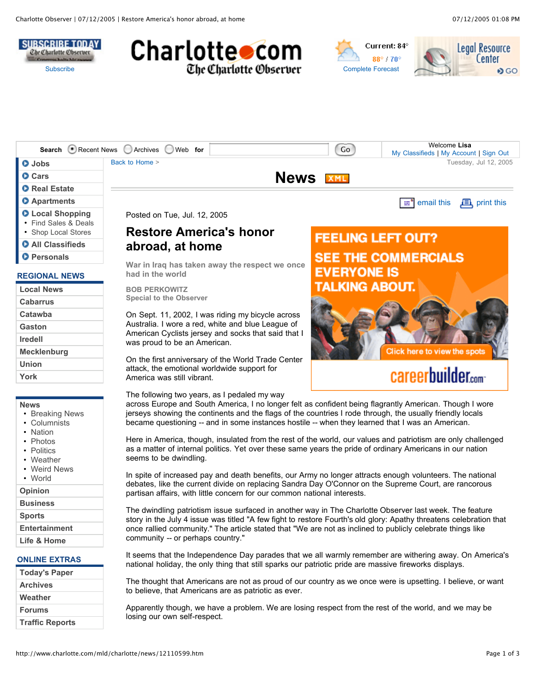





|                                                            | Search Recent News Archives Web for                                                                                                                                                                                                                                                                                                                                              |             | Go                       | Welcome Lisa<br>My Classifieds   My Account   Sign Out                                                  |  |
|------------------------------------------------------------|----------------------------------------------------------------------------------------------------------------------------------------------------------------------------------------------------------------------------------------------------------------------------------------------------------------------------------------------------------------------------------|-------------|--------------------------|---------------------------------------------------------------------------------------------------------|--|
| <b>O</b> Jobs                                              | Back to Home >                                                                                                                                                                                                                                                                                                                                                                   |             |                          | Tuesday, Jul 12, 2005                                                                                   |  |
| <b>O</b> Cars                                              |                                                                                                                                                                                                                                                                                                                                                                                  | <b>News</b> | <b>XML</b>               |                                                                                                         |  |
| <b>O</b> Real Estate                                       |                                                                                                                                                                                                                                                                                                                                                                                  |             |                          |                                                                                                         |  |
| <b>O</b> Apartments                                        |                                                                                                                                                                                                                                                                                                                                                                                  |             |                          | email this<br>$\mathbf{E}$ , print this<br>æ°                                                           |  |
| <b>O</b> Local Shopping<br>• Find Sales & Deals            | Posted on Tue, Jul. 12, 2005                                                                                                                                                                                                                                                                                                                                                     |             |                          |                                                                                                         |  |
| • Shop Local Stores                                        | <b>Restore America's honor</b>                                                                                                                                                                                                                                                                                                                                                   |             | <b>FEELING LEFT OUT?</b> |                                                                                                         |  |
| <b>O</b> All Classifieds                                   | abroad, at home                                                                                                                                                                                                                                                                                                                                                                  |             |                          |                                                                                                         |  |
| <b>O</b> Personals                                         | War in Iraq has taken away the respect we once                                                                                                                                                                                                                                                                                                                                   |             |                          | <b>SEE THE COMMERCIALS</b>                                                                              |  |
| <b>REGIONAL NEWS</b>                                       | had in the world                                                                                                                                                                                                                                                                                                                                                                 |             | <b>EVERYONE IS</b>       |                                                                                                         |  |
| <b>Local News</b>                                          | <b>BOB PERKOWITZ</b>                                                                                                                                                                                                                                                                                                                                                             |             | TALKING ABOUT.           |                                                                                                         |  |
| <b>Cabarrus</b>                                            | <b>Special to the Observer</b>                                                                                                                                                                                                                                                                                                                                                   |             |                          |                                                                                                         |  |
| Catawba                                                    | On Sept. 11, 2002, I was riding my bicycle across                                                                                                                                                                                                                                                                                                                                |             |                          |                                                                                                         |  |
| Gaston                                                     | Australia. I wore a red, white and blue League of<br>American Cyclists jersey and socks that said that I                                                                                                                                                                                                                                                                         |             |                          |                                                                                                         |  |
| <b>Iredell</b>                                             | was proud to be an American.                                                                                                                                                                                                                                                                                                                                                     |             |                          |                                                                                                         |  |
| Mecklenburg                                                |                                                                                                                                                                                                                                                                                                                                                                                  |             |                          | Click here to view the spots                                                                            |  |
| <b>Union</b>                                               | On the first anniversary of the World Trade Center<br>attack, the emotional worldwide support for                                                                                                                                                                                                                                                                                |             |                          |                                                                                                         |  |
| York                                                       | America was still vibrant.                                                                                                                                                                                                                                                                                                                                                       |             | careerbuilder.com        |                                                                                                         |  |
|                                                            | The following two years, as I pedaled my way                                                                                                                                                                                                                                                                                                                                     |             |                          |                                                                                                         |  |
| <b>News</b><br>• Breaking News<br>• Columnists<br>• Nation | jerseys showing the continents and the flags of the countries I rode through, the usually friendly locals<br>became questioning -- and in some instances hostile -- when they learned that I was an American.                                                                                                                                                                    |             |                          | across Europe and South America, I no longer felt as confident being flagrantly American. Though I wore |  |
| • Photos<br>• Politics<br>• Weather<br>• Weird News        | Here in America, though, insulated from the rest of the world, our values and patriotism are only challenged<br>as a matter of internal politics. Yet over these same years the pride of ordinary Americans in our nation<br>seems to be dwindling.                                                                                                                              |             |                          |                                                                                                         |  |
| • World                                                    | In spite of increased pay and death benefits, our Army no longer attracts enough volunteers. The national                                                                                                                                                                                                                                                                        |             |                          |                                                                                                         |  |
| Opinion                                                    | debates, like the current divide on replacing Sandra Day O'Connor on the Supreme Court, are rancorous<br>partisan affairs, with little concern for our common national interests.                                                                                                                                                                                                |             |                          |                                                                                                         |  |
| <b>Business</b>                                            |                                                                                                                                                                                                                                                                                                                                                                                  |             |                          |                                                                                                         |  |
| <b>Sports</b>                                              | The dwindling patriotism issue surfaced in another way in The Charlotte Observer last week. The feature<br>story in the July 4 issue was titled "A few fight to restore Fourth's old glory: Apathy threatens celebration that<br>once rallied community." The article stated that "We are not as inclined to publicly celebrate things like<br>community -- or perhaps country." |             |                          |                                                                                                         |  |
| <b>Entertainment</b>                                       |                                                                                                                                                                                                                                                                                                                                                                                  |             |                          |                                                                                                         |  |
| Life & Home                                                |                                                                                                                                                                                                                                                                                                                                                                                  |             |                          |                                                                                                         |  |
| <b>ONLINE EXTRAS</b>                                       | national holiday, the only thing that still sparks our patriotic pride are massive fireworks displays.                                                                                                                                                                                                                                                                           |             |                          | It seems that the Independence Day parades that we all warmly remember are withering away. On America's |  |
| <b>Today's Paper</b>                                       |                                                                                                                                                                                                                                                                                                                                                                                  |             |                          |                                                                                                         |  |

The thought that Americans are not as proud of our country as we once were is upsetting. I believe, or want to believe, that Americans are as patriotic as ever.

Apparently though, we have a problem. We are losing respect from the rest of the world, and we may be losing our own self-respect.

**Archives Weather Forums**

**Traffic Reports**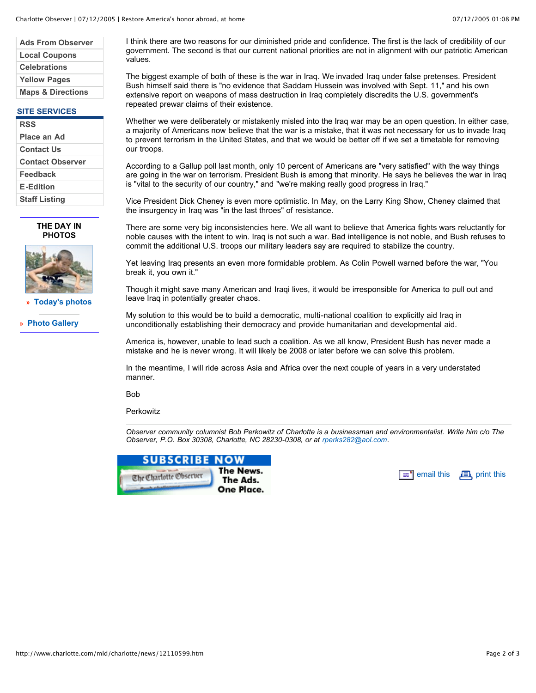| <b>Ads From Observer</b>     |
|------------------------------|
| <b>Local Coupons</b>         |
| <b>Celebrations</b>          |
| <b>Yellow Pages</b>          |
| <b>Maps &amp; Directions</b> |
|                              |

## **SITE SERVICES**

| <b>RSS</b>              |
|-------------------------|
| Place an Ad             |
| Contact Us              |
| <b>Contact Observer</b> |
| Feedback                |
| <b>E-Edition</b>        |
| <b>Staff Listing</b>    |

**THE DAY IN PHOTOS**



**» Today's photos**

**» Photo Gallery**

I think there are two reasons for our diminished pride and confidence. The first is the lack of credibility of our government. The second is that our current national priorities are not in alignment with our patriotic American values.

The biggest example of both of these is the war in Iraq. We invaded Iraq under false pretenses. President Bush himself said there is "no evidence that Saddam Hussein was involved with Sept. 11," and his own extensive report on weapons of mass destruction in Iraq completely discredits the U.S. government's repeated prewar claims of their existence.

Whether we were deliberately or mistakenly misled into the Iraq war may be an open question. In either case, a majority of Americans now believe that the war is a mistake, that it was not necessary for us to invade Iraq to prevent terrorism in the United States, and that we would be better off if we set a timetable for removing our troops.

According to a Gallup poll last month, only 10 percent of Americans are "very satisfied" with the way things are going in the war on terrorism. President Bush is among that minority. He says he believes the war in Iraq is "vital to the security of our country," and "we're making really good progress in Iraq."

Vice President Dick Cheney is even more optimistic. In May, on the Larry King Show, Cheney claimed that the insurgency in Iraq was "in the last throes" of resistance.

There are some very big inconsistencies here. We all want to believe that America fights wars reluctantly for noble causes with the intent to win. Iraq is not such a war. Bad intelligence is not noble, and Bush refuses to commit the additional U.S. troops our military leaders say are required to stabilize the country.

Yet leaving Iraq presents an even more formidable problem. As Colin Powell warned before the war, "You break it, you own it."

Though it might save many American and Iraqi lives, it would be irresponsible for America to pull out and leave Iraq in potentially greater chaos.

My solution to this would be to build a democratic, multi-national coalition to explicitly aid Iraq in unconditionally establishing their democracy and provide humanitarian and developmental aid.

America is, however, unable to lead such a coalition. As we all know, President Bush has never made a mistake and he is never wrong. It will likely be 2008 or later before we can solve this problem.

In the meantime, I will ride across Asia and Africa over the next couple of years in a very understated manner.

Bob

**Perkowitz** 

*Observer community columnist Bob Perkowitz of Charlotte is a businessman and environmentalist. Write him c/o The Observer, P.O. Box 30308, Charlotte, NC 28230-0308, or at rperks282@aol.com.*